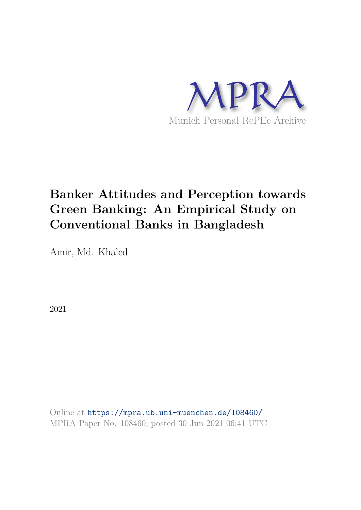

# **Banker Attitudes and Perception towards Green Banking: An Empirical Study on Conventional Banks in Bangladesh**

Amir, Md. Khaled

2021

Online at https://mpra.ub.uni-muenchen.de/108460/ MPRA Paper No. 108460, posted 30 Jun 2021 06:41 UTC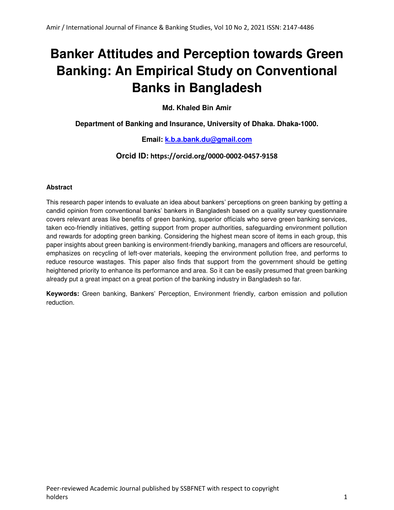# **Banker Attitudes and Perception towards Green Banking: An Empirical Study on Conventional Banks in Bangladesh**

**Md. Khaled Bin Amir** 

**Department of Banking and Insurance, University of Dhaka. Dhaka-1000.** 

### **Email: [k.b.a.bank.du@gmail.com](mailto:k.b.a.bank.du@gmail.com)**

### **Orcid ID: https://orcid.org/0000-0002-0457-9158**

#### **Abstract**

This research paper intends to evaluate an idea about bankers' perceptions on green banking by getting a candid opinion from conventional banks' bankers in Bangladesh based on a quality survey questionnaire covers relevant areas like benefits of green banking, superior officials who serve green banking services, taken eco-friendly initiatives, getting support from proper authorities, safeguarding environment pollution and rewards for adopting green banking. Considering the highest mean score of items in each group, this paper insights about green banking is environment-friendly banking, managers and officers are resourceful, emphasizes on recycling of left-over materials, keeping the environment pollution free, and performs to reduce resource wastages. This paper also finds that support from the government should be getting heightened priority to enhance its performance and area. So it can be easily presumed that green banking already put a great impact on a great portion of the banking industry in Bangladesh so far.

**Keywords:** Green banking, Bankers' Perception, Environment friendly, carbon emission and pollution reduction.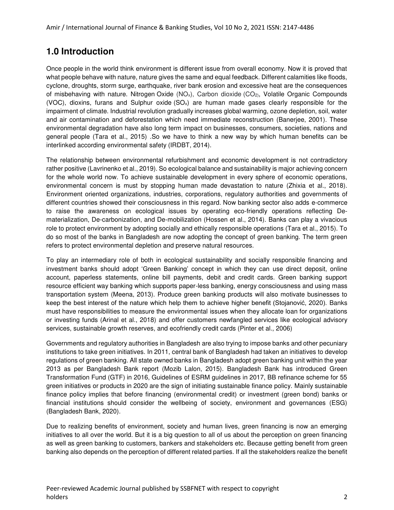### **1.0 Introduction**

Once people in the world think environment is different issue from overall economy. Now it is proved that what people behave with nature, nature gives the same and equal feedback. Different calamities like floods, cyclone, droughts, storm surge, earthquake, river bank erosion and excessive heat are the consequences of misbehaving with nature. Nitrogen Oxide (NO<sub>x</sub>), Carbon dioxide (CO<sub>2</sub>), Volatile Organic Compounds (VOC), dioxins, furans and Sulphur oxide  $(SO_x)$  are human made gases clearly responsible for the impairment of climate. Industrial revolution gradually increases global warming, ozone depletion, soil, water and air contamination and deforestation which need immediate reconstruction (Banerjee, 2001). These environmental degradation have also long term impact on businesses, consumers, societies, nations and general people (Tara et al., 2015) .So we have to think a new way by which human benefits can be interlinked according environmental safety (IRDBT, 2014).

The relationship between environmental refurbishment and economic development is not contradictory rather positive (Lavrinenko et al., 2019). So ecological balance and sustainability is major achieving concern for the whole world now. To achieve sustainable development in every sphere of economic operations, environmental concern is must by stopping human made devastation to nature (Zhixia et al., 2018). Environment oriented organizations, industries, corporations, regulatory authorities and governments of different countries showed their consciousness in this regard. Now banking sector also adds e-commerce to raise the awareness on ecological issues by operating eco-friendly operations reflecting Dematerialization, De-carbonization, and De-mobilization (Hossen et al., 2014). Banks can play a vivacious role to protect environment by adopting socially and ethically responsible operations (Tara et al., 2015). To do so most of the banks in Bangladesh are now adopting the concept of green banking. The term green refers to protect environmental depletion and preserve natural resources.

To play an intermediary role of both in ecological sustainability and socially responsible financing and investment banks should adopt 'Green Banking' concept in which they can use direct deposit, online account, paperless statements, online bill payments, debit and credit cards. Green banking support resource efficient way banking which supports paper-less banking, energy consciousness and using mass transportation system (Meena, 2013). Produce green banking products will also motivate businesses to keep the best interest of the nature which help them to achieve higher benefit (Stojanović, 2020). Banks must have responsibilities to measure the environmental issues when they allocate loan for organizations or investing funds (Arinal et al., 2018) and offer customers newfangled services like ecological advisory services, sustainable growth reserves, and ecofriendly credit cards (Pinter et al., 2006)

Governments and regulatory authorities in Bangladesh are also trying to impose banks and other pecuniary institutions to take green initiatives. In 2011, central bank of Bangladesh had taken an initiatives to develop regulations of green banking. All state owned banks in Bangladesh adopt green banking unit within the year 2013 as per Bangladesh Bank report (Mozib Lalon, 2015). Bangladesh Bank has introduced Green Transformation Fund (GTF) in 2016, Guidelines of ESRM guidelines in 2017, BB refinance scheme for 55 green initiatives or products in 2020 are the sign of initiating sustainable finance policy. Mainly sustainable finance policy implies that before financing (environmental credit) or investment (green bond) banks or financial institutions should consider the wellbeing of society, environment and governances (ESG) (Bangladesh Bank, 2020).

Due to realizing benefits of environment, society and human lives, green financing is now an emerging initiatives to all over the world. But it is a big question to all of us about the perception on green financing as well as green banking to customers, bankers and stakeholders etc. Because getting benefit from green banking also depends on the perception of different related parties. If all the stakeholders realize the benefit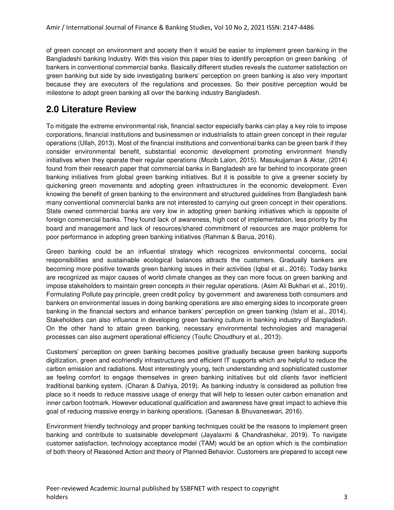of green concept on environment and society then it would be easier to implement green banking in the Bangladeshi banking Industry. With this vision this paper tries to identify perception on green banking of bankers in conventional commercial banks. Basically different studies reveals the customer satisfaction on green banking but side by side investigating bankers' perception on green banking is also very important because they are executers of the regulations and processes. So their positive perception would be milestone to adopt green banking all over the banking industry Bangladesh.

### **2.0 Literature Review**

To mitigate the extreme environmental risk, financial sector especially banks can play a key role to impose corporations, financial institutions and businessmen or industrialists to attain green concept in their regular operations (Ullah, 2013). Most of the financial institutions and conventional banks can be green bank if they consider environmental benefit, substantial economic development promoting environment friendly initiatives when they operate their regular operations (Mozib Lalon, 2015). Masukujjaman & Aktar, (2014) found from their research paper that commercial banks in Bangladesh are far behind to incorporate green banking initiatives from global green banking initiatives. But it is possible to give a greener society by quickening green movements and adopting green infrastructures in the economic development. Even knowing the benefit of green banking to the environment and structured guidelines from Bangladesh bank many conventional commercial banks are not interested to carrying out green concept in their operations. State owned commercial banks are very low in adopting green banking initiatives which is opposite of foreign commercial banks. They found lack of awareness, high cost of implementation, less priority by the board and management and lack of resources/shared commitment of resources are major problems for poor performance in adopting green banking initiatives (Rahman & Barua, 2016).

Green banking could be an influential strategy which recognizes environmental concerns, social responsibilities and sustainable ecological balances attracts the customers. Gradually bankers are becoming more positive towards green banking issues in their activities (Iqbal et al., 2016). Today banks are recognized as major causes of world climate changes as they can more focus on green banking and impose stakeholders to maintain green concepts in their regular operations. (Asim Ali Bukhari et al., 2019). Formulating Pollute pay principle, green credit policy by government and awareness both consumers and bankers on environmental issues in doing banking operations are also emerging sides to incorporate green banking in the financial sectors and enhance bankers' perception on green banking (Islam et al., 2014). Stakeholders can also influence in developing green banking culture in banking industry of Bangladesh. On the other hand to attain green banking, necessary environmental technologies and managerial processes can also augment operational efficiency (Toufic Choudhury et al., 2013).

Customers' perception on green banking becomes positive gradually because green banking supports digitization, green and ecofriendly infrastructures and efficient IT supports which are helpful to reduce the carbon emission and radiations. Most interestingly young, tech understanding and sophisticated customer ae feeling comfort to engage themselves in green banking initiatives but old clients favor inefficient traditional banking system. (Charan & Dahiya, 2019). As banking industry is considered as pollution free place so it needs to reduce massive usage of energy that will help to lessen outer carbon emanation and inner carbon footmark. However educational qualification and awareness have great impact to achieve this goal of reducing massive energy in banking operations. (Ganesan & Bhuvaneswari, 2016).

Environment friendly technology and proper banking techniques could be the reasons to implement green banking and contribute to sustainable development (Jayalaxmi & Chandrashekar, 2019). To navigate customer satisfaction, technology acceptance model (TAM) would be an option which is the combination of both theory of Reasoned Action and theory of Planned Behavior. Customers are prepared to accept new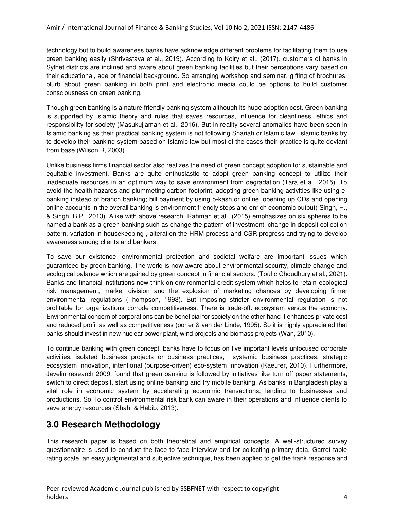technology but to build awareness banks have acknowledge different problems for facilitating them to use green banking easily (Shrivastava et al., 2019). According to Koiry et al., (2017), customers of banks in Sylhet districts are inclined and aware about green banking facilities but their perceptions vary based on their educational, age or financial background. So arranging workshop and seminar, gifting of brochures, blurb about green banking in both print and electronic media could be options to build customer consciousness on green banking.

Though green banking is a nature friendly banking system although its huge adoption cost. Green banking is supported by Islamic theory and rules that saves resources, influence for cleanliness, ethics and responsibility for society (Masukujjaman et al., 2016). But in reality several anomalies have been seen in Islamic banking as their practical banking system is not following Shariah or Islamic law. Islamic banks try to develop their banking system based on Islamic law but most of the cases their practice is quite deviant from base (Wilson R, 2003).

Unlike business firms financial sector also realizes the need of green concept adoption for sustainable and equitable investment. Banks are quite enthusiastic to adopt green banking concept to utilize their inadequate resources in an optimum way to save environment from degradation (Tara et al., 2015). To avoid the health hazards and plummeting carbon footprint, adopting green banking activities like using ebanking instead of branch banking; bill payment by using b-kash or online, opening up CDs and opening online accounts in the overall banking is environment friendly steps and enrich economic output( Singh, H., & Singh, B.P., 2013). Alike with above research, Rahman et al., (2015) emphasizes on six spheres to be named a bank as a green banking such as change the pattern of investment, change in deposit collection pattern, variation in housekeeping , alteration the HRM process and CSR progress and trying to develop awareness among clients and bankers.

To save our existence, environmental protection and societal welfare are important issues which guaranteed by green banking. The world is now aware about environmental security, climate change and ecological balance which are gained by green concept in financial sectors. (Toufic Choudhury et al., 2021). Banks and financial institutions now think on environmental credit system which helps to retain ecological risk management, market division and the explosion of marketing chances by developing firmer environmental regulations (Thompson, 1998). But imposing stricter environmental regulation is not profitable for organizations corrode competitiveness. There is trade-off: ecosystem versus the economy. Environmental concern of corporations can be beneficial for society on the other hand it enhances private cost and reduced profit as well as competitiveness (porter & van der Linde, 1995). So it is highly appreciated that banks should invest in new nuclear power plant, wind projects and biomass projects (Wan, 2010).

To continue banking with green concept, banks have to focus on five important levels unfocused corporate activities, isolated business projects or business practices, systemic business practices, strategic ecosystem innovation, intentional (purpose-driven) eco-system innovation (Kaeufer, 2010). Furthermore, Javelin research 2009, found that green banking is followed by initiatives like turn off paper statements, switch to direct deposit, start using online banking and try mobile banking. As banks in Bangladesh play a vital role in economic system by accelerating economic transactions, lending to businesses and productions. So To control environmental risk bank can aware in their operations and influence clients to save energy resources (Shah & Habib, 2013).

### **3.0 Research Methodology**

This research paper is based on both theoretical and empirical concepts. A well-structured survey questionnaire is used to conduct the face to face interview and for collecting primary data. Garret table rating scale, an easy judgmental and subjective technique, has been applied to get the frank response and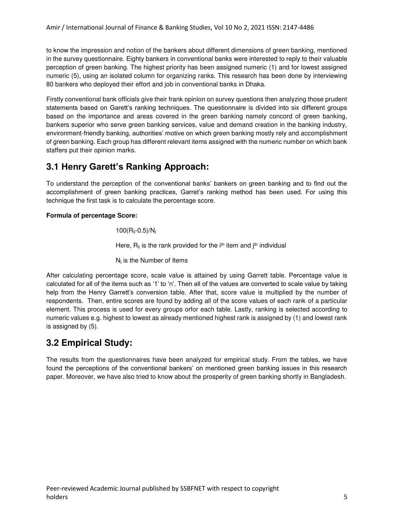to know the impression and notion of the bankers about different dimensions of green banking, mentioned in the survey questionnaire. Eighty bankers in conventional banks were interested to reply to their valuable perception of green banking. The highest priority has been assigned numeric (1) and for lowest assigned numeric (5), using an isolated column for organizing ranks. This research has been done by interviewing 80 bankers who deployed their effort and job in conventional banks in Dhaka.

Firstly conventional bank officials give their frank opinion on survey questions then analyzing those prudent statements based on Garett's ranking techniques. The questionnaire is divided into six different groups based on the importance and areas covered in the green banking namely concord of green banking, bankers superior who serve green banking services, value and demand creation in the banking industry, environment-friendly banking, authorities' motive on which green banking mostly rely and accomplishment of green banking. Each group has different relevant items assigned with the numeric number on which bank staffers put their opinion marks.

## **3.1 Henry Garett's Ranking Approach:**

To understand the perception of the conventional banks' bankers on green banking and to find out the accomplishment of green banking practices, Garret's ranking method has been used. For using this technique the first task is to calculate the percentage score.

#### **Formula of percentage Score:**

 $100(R_{ij} - 0.5)/N_{j}$ 

Here,  $R_{ij}$  is the rank provided for the  $i<sup>th</sup>$  item and  $j<sup>th</sup>$  individual

Nj is the Number of Items

After calculating percentage score, scale value is attained by using Garrett table. Percentage value is calculated for all of the items such as '1' to 'n'. Then all of the values are converted to scale value by taking help from the Henry Garrett's conversion table. After that, score value is multiplied by the number of respondents. Then, entire scores are found by adding all of the score values of each rank of a particular element. This process is used for every groups orfor each table. Lastly, ranking is selected according to numeric values e.g. highest to lowest as already mentioned highest rank is assigned by (1) and lowest rank is assigned by (5).

## **3.2 Empirical Study:**

The results from the questionnaires have been analyzed for empirical study. From the tables, we have found the perceptions of the conventional bankers' on mentioned green banking issues in this research paper. Moreover, we have also tried to know about the prosperity of green banking shortly in Bangladesh.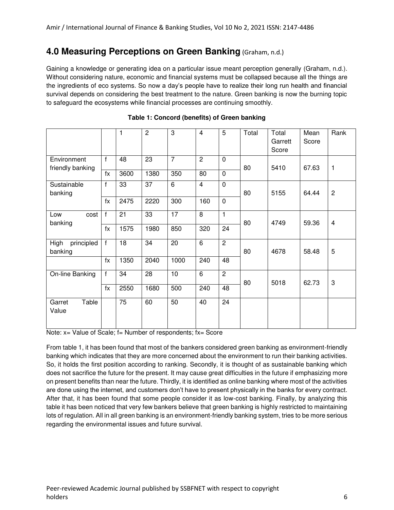### **4.0 Measuring Perceptions on Green Banking** (Graham, n.d.)

Gaining a knowledge or generating idea on a particular issue meant perception generally (Graham, n.d.). Without considering nature, economic and financial systems must be collapsed because all the things are the ingredients of eco systems. So now a day's people have to realize their long run health and financial survival depends on considering the best treatment to the nature. Green banking is now the burning topic to safeguard the ecosystems while financial processes are continuing smoothly.

|                                 |              | 1    | $\overline{2}$ | 3               | $\overline{4}$ | 5              | Total | Total<br>Garrett<br>Score | Mean<br>Score | Rank           |
|---------------------------------|--------------|------|----------------|-----------------|----------------|----------------|-------|---------------------------|---------------|----------------|
| Environment<br>friendly banking | $\mathbf{f}$ | 48   | 23             | $\overline{7}$  | $\overline{2}$ | $\mathbf 0$    | 80    | 5410                      | 67.63         | 1              |
|                                 | fx           | 3600 | 1380           | 350             | 80             | $\Omega$       |       |                           |               |                |
| Sustainable<br>banking          | f            | 33   | 37             | $6\phantom{1}$  | $\overline{4}$ | $\overline{0}$ | 80    | 5155                      | 64.44         | $\overline{c}$ |
|                                 | $f_X$        | 2475 | 2220           | 300             | 160            | $\mathbf 0$    |       |                           |               |                |
| cost<br>Low<br>banking          | $\mathsf{f}$ | 21   | 33             | $\overline{17}$ | $\overline{8}$ | $\mathbf{1}$   | 80    | 4749                      | 59.36         | 4              |
|                                 | $f_X$        | 1575 | 1980           | 850             | 320            | 24             |       |                           |               |                |
| principled<br>High<br>banking   | $\mathsf{f}$ | 18   | 34             | 20              | 6              | $\overline{2}$ | 80    | 4678                      | 58.48         | 5              |
|                                 | $f_X$        | 1350 | 2040           | 1000            | 240            | 48             |       |                           |               |                |
| On-line Banking                 | $\mathsf{f}$ | 34   | 28             | 10              | $\overline{6}$ | $\overline{2}$ | 80    | 5018                      | 62.73         | 3              |
|                                 | $f_X$        | 2550 | 1680           | 500             | 240            | 48             |       |                           |               |                |
| Table<br>Garret<br>Value        |              | 75   | 60             | 50              | 40             | 24             |       |                           |               |                |

|  | Table 1: Concord (benefits) of Green banking |  |  |  |
|--|----------------------------------------------|--|--|--|
|--|----------------------------------------------|--|--|--|

Note: x= Value of Scale; f= Number of respondents; fx= Score

From table 1, it has been found that most of the bankers considered green banking as environment-friendly banking which indicates that they are more concerned about the environment to run their banking activities. So, it holds the first position according to ranking. Secondly, it is thought of as sustainable banking which does not sacrifice the future for the present. It may cause great difficulties in the future if emphasizing more on present benefits than near the future. Thirdly, it is identified as online banking where most of the activities are done using the internet, and customers don't have to present physically in the banks for every contract. After that, it has been found that some people consider it as low-cost banking. Finally, by analyzing this table it has been noticed that very few bankers believe that green banking is highly restricted to maintaining lots of regulation. All in all green banking is an environment-friendly banking system, tries to be more serious regarding the environmental issues and future survival.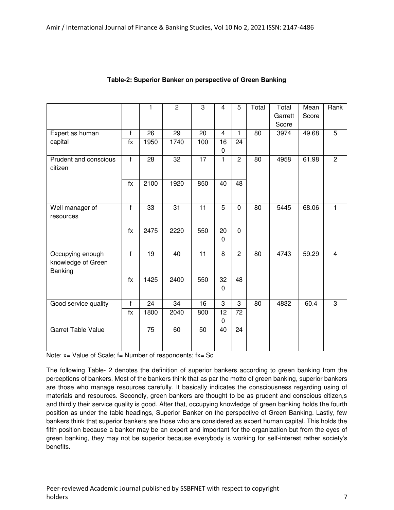|                                                   |                | 1               | $\overline{c}$ | $\overline{3}$  | $\overline{4}$              | 5               | Total | Total<br>Garrett | Mean<br>Score | Rank           |
|---------------------------------------------------|----------------|-----------------|----------------|-----------------|-----------------------------|-----------------|-------|------------------|---------------|----------------|
|                                                   |                |                 |                |                 |                             |                 |       | Score            |               |                |
| Expert as human                                   | f              | 26              | 29             | 20              | $\overline{4}$              | $\mathbf{1}$    | 80    | 3974             | 49.68         | $\overline{5}$ |
| capital                                           | fx             | 1950            | 1740           | 100             | 16<br>0                     | 24              |       |                  |               |                |
| Prudent and conscious<br>citizen                  | $\overline{f}$ | 28              | 32             | $\overline{17}$ | 1                           | $\overline{2}$  | 80    | 4958             | 61.98         | $\overline{2}$ |
|                                                   | $f_X$          | 2100            | 1920           | 850             | 40                          | 48              |       |                  |               |                |
| Well manager of<br>resources                      | f              | 33              | 31             | 11              | 5                           | $\mathbf 0$     | 80    | 5445             | 68.06         | $\mathbf{1}$   |
|                                                   | $f_X$          | 2475            | 2220           | 550             | 20<br>0                     | $\mathbf 0$     |       |                  |               |                |
| Occupying enough<br>knowledge of Green<br>Banking | f              | 19              | 40             | 11              | 8                           | 2               | 80    | 4743             | 59.29         | $\overline{4}$ |
|                                                   | $\overline{f}$ | 1425            | 2400           | 550             | $\overline{32}$<br>$\Omega$ | $\overline{48}$ |       |                  |               |                |
| Good service quality                              | f              | 24              | 34             | 16              | 3                           | 3               | 80    | 4832             | 60.4          | 3              |
|                                                   | $f_X$          | 1800            | 2040           | 800             | 12<br>$\Omega$              | 72              |       |                  |               |                |
| <b>Garret Table Value</b>                         |                | $\overline{75}$ | 60             | 50              | 40                          | 24              |       |                  |               |                |

#### **Table-2: Superior Banker on perspective of Green Banking**

Note:  $x=$  Value of Scale;  $f=$  Number of respondents;  $fx=$  Sc

The following Table- 2 denotes the definition of superior bankers according to green banking from the perceptions of bankers. Most of the bankers think that as par the motto of green banking, superior bankers are those who manage resources carefully. It basically indicates the consciousness regarding using of materials and resources. Secondly, green bankers are thought to be as prudent and conscious citizen,s and thirdly their service quality is good. After that, occupying knowledge of green banking holds the fourth position as under the table headings, Superior Banker on the perspective of Green Banking. Lastly, few bankers think that superior bankers are those who are considered as expert human capital. This holds the fifth position because a banker may be an expert and important for the organization but from the eyes of green banking, they may not be superior because everybody is working for self-interest rather society's benefits.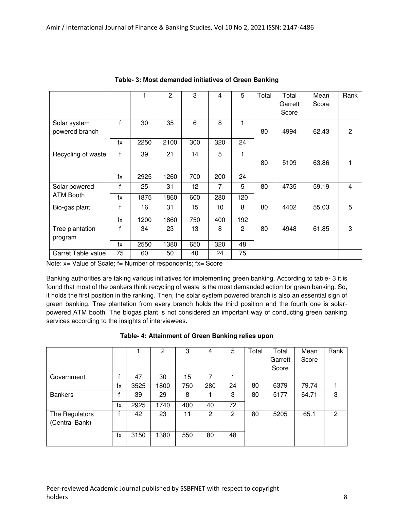|                                |       |      | $\overline{2}$ | 3   | 4   | 5              | Total | Total<br>Garrett<br>Score | Mean<br>Score | Rank           |
|--------------------------------|-------|------|----------------|-----|-----|----------------|-------|---------------------------|---------------|----------------|
| Solar system<br>powered branch | f     | 30   | 35             | 6   | 8   | 1              | 80    | 4994                      | 62.43         | $\overline{c}$ |
|                                | $f_X$ | 2250 | 2100           | 300 | 320 | 24             |       |                           |               |                |
| Recycling of waste             | f     | 39   | 21             | 14  | 5   | 1              | 80    | 5109                      | 63.86         | 1              |
|                                | fx    | 2925 | 1260           | 700 | 200 | 24             |       |                           |               |                |
| Solar powered                  | f     | 25   | 31             | 12  | 7   | 5              | 80    | 4735                      | 59.19         | $\overline{4}$ |
| <b>ATM Booth</b>               | fx    | 1875 | 1860           | 600 | 280 | 120            |       |                           |               |                |
| Bio-gas plant                  | f     | 16   | 31             | 15  | 10  | 8              | 80    | 4402                      | 55.03         | 5              |
|                                | fx    | 1200 | 1860           | 750 | 400 | 192            |       |                           |               |                |
| Tree plantation<br>program     | f     | 34   | 23             | 13  | 8   | $\overline{c}$ | 80    | 4948                      | 61.85         | 3              |
|                                | fx    | 2550 | 1380           | 650 | 320 | 48             |       |                           |               |                |
| Garret Table value             | 75    | 60   | 50             | 40  | 24  | 75             |       |                           |               |                |

**Table- 3: Most demanded initiatives of Green Banking** 

Note:  $x=$  Value of Scale;  $f=$  Number of respondents;  $fx=$  Score

Banking authorities are taking various initiatives for implementing green banking. According to table- 3 it is found that most of the bankers think recycling of waste is the most demanded action for green banking. So, it holds the first position in the ranking. Then, the solar system powered branch is also an essential sign of green banking. Tree plantation from every branch holds the third position and the fourth one is solarpowered ATM booth. The biogas plant is not considered an important way of conducting green banking services according to the insights of interviewees.

|                                  |    |      | 2    | 3   | 4   | 5  | Total | Total<br>Garrett<br>Score | Mean<br>Score | Rank |
|----------------------------------|----|------|------|-----|-----|----|-------|---------------------------|---------------|------|
| Government                       |    | 47   | 30   | 15  | 7   |    |       |                           |               |      |
|                                  | fx | 3525 | 1800 | 750 | 280 | 24 | 80    | 6379                      | 79.74         |      |
| <b>Bankers</b>                   |    | 39   | 29   | 8   |     | 3  | 80    | 5177                      | 64.71         | 3    |
|                                  | fx | 2925 | 1740 | 400 | 40  | 72 |       |                           |               |      |
| The Regulators<br>(Central Bank) | f  | 42   | 23   | 11  | 2   | 2  | 80    | 5205                      | 65.1          | 2    |
|                                  | fx | 3150 | 1380 | 550 | 80  | 48 |       |                           |               |      |

#### **Table- 4: Attainment of Green Banking relies upon**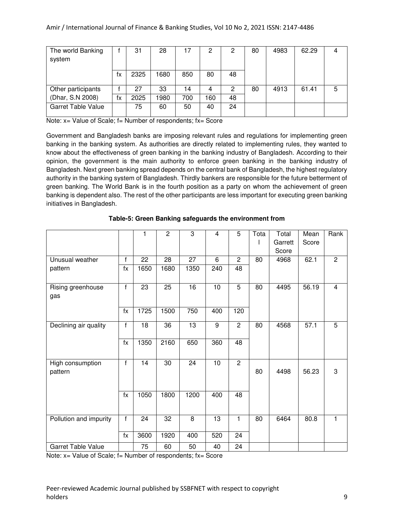| The world Banking         |    | 31   | 28   |     | 2   | 2  | 80 | 4983 | 62.29 |   |
|---------------------------|----|------|------|-----|-----|----|----|------|-------|---|
| system                    |    |      |      |     |     |    |    |      |       |   |
|                           |    |      |      |     |     |    |    |      |       |   |
|                           | fх | 2325 | 1680 | 850 | 80  | 48 |    |      |       |   |
|                           |    |      |      |     |     |    |    |      |       |   |
| Other participants        |    | 27   | 33   | 14  | 4   | 2  | 80 | 4913 | 61.41 | 5 |
| (Dhar, S.N 2008)          | fx | 2025 | 1980 | 700 | 160 | 48 |    |      |       |   |
| <b>Garret Table Value</b> |    | 75   | 60   | 50  | 40  | 24 |    |      |       |   |
|                           |    |      |      |     |     |    |    |      |       |   |

Note: x= Value of Scale; f= Number of respondents; fx= Score

Government and Bangladesh banks are imposing relevant rules and regulations for implementing green banking in the banking system. As authorities are directly related to implementing rules, they wanted to know about the effectiveness of green banking in the banking industry of Bangladesh. According to their opinion, the government is the main authority to enforce green banking in the banking industry of Bangladesh. Next green banking spread depends on the central bank of Bangladesh, the highest regulatory authority in the banking system of Bangladesh. Thirdly bankers are responsible for the future betterment of green banking. The World Bank is in the fourth position as a party on whom the achievement of green banking is dependent also. The rest of the other participants are less important for executing green banking initiatives in Bangladesh.

|                             |                | 1    | $\overline{c}$ | 3               | $\overline{4}$ | 5              | Tota | Total<br>Garrett | Mean<br>Score | Rank           |
|-----------------------------|----------------|------|----------------|-----------------|----------------|----------------|------|------------------|---------------|----------------|
|                             |                |      |                |                 |                |                |      | Score            |               |                |
| Unusual weather             | $\mathsf{f}$   | 22   | 28             | $\overline{27}$ | 6              | $\overline{2}$ | 80   | 4968             | 62.1          | $\overline{2}$ |
| pattern                     | $f_X$          | 1650 | 1680           | 1350            | 240            | 48             |      |                  |               |                |
| Rising greenhouse<br>gas    | $\overline{f}$ | 23   | 25             | 16              | 10             | $\overline{5}$ | 80   | 4495             | 56.19         | $\overline{4}$ |
|                             | $f_X$          | 1725 | 1500           | 750             | 400            | 120            |      |                  |               |                |
| Declining air quality       | $\mathsf{f}$   | 18   | 36             | 13              | 9              | $\overline{2}$ | 80   | 4568             | 57.1          | 5              |
|                             | $f_X$          | 1350 | 2160           | 650             | 360            | 48             |      |                  |               |                |
| High consumption<br>pattern | $\mathsf{f}$   | 14   | 30             | 24              | 10             | $\overline{2}$ | 80   | 4498             | 56.23         | 3              |
|                             | $f_X$          | 1050 | 1800           | 1200            | 400            | 48             |      |                  |               |                |
| Pollution and impurity      | f              | 24   | 32             | 8               | 13             | 1              | 80   | 6464             | 80.8          | $\mathbf{1}$   |
|                             | $f_X$          | 3600 | 1920           | 400             | 520            | 24             |      |                  |               |                |
| Garret Table Value          |                | 75   | 60             | 50              | 40             | 24             |      |                  |               |                |

#### **Table-5: Green Banking safeguards the environment from**

Note: x= Value of Scale; f= Number of respondents; fx= Score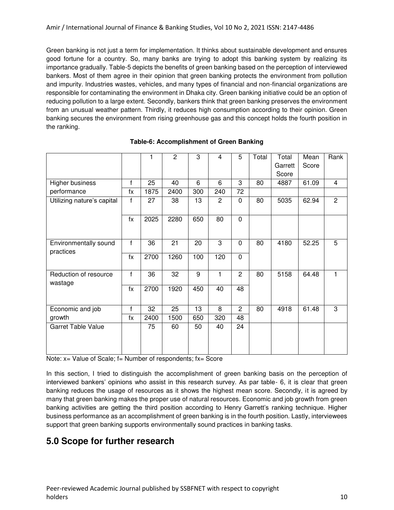Green banking is not just a term for implementation. It thinks about sustainable development and ensures good fortune for a country. So, many banks are trying to adopt this banking system by realizing its importance gradually. Table-5 depicts the benefits of green banking based on the perception of interviewed bankers. Most of them agree in their opinion that green banking protects the environment from pollution and impurity. Industries wastes, vehicles, and many types of financial and non-financial organizations are responsible for contaminating the environment in Dhaka city. Green banking initiative could be an option of reducing pollution to a large extent. Secondly, bankers think that green banking preserves the environment from an unusual weather pattern. Thirdly, it reduces high consumption according to their opinion. Green banking secures the environment from rising greenhouse gas and this concept holds the fourth position in the ranking.

|                                    |              | 1    | $\overline{2}$ | 3   | 4              | 5              | Total | Total   | Mean  | Rank           |
|------------------------------------|--------------|------|----------------|-----|----------------|----------------|-------|---------|-------|----------------|
|                                    |              |      |                |     |                |                |       | Garrett | Score |                |
|                                    |              |      |                |     |                |                |       | Score   |       |                |
| Higher business                    | $\mathsf{f}$ | 25   | 40             | 6   | 6              | 3              | 80    | 4887    | 61.09 | 4              |
| performance                        | fx           | 1875 | 2400           | 300 | 240            | 72             |       |         |       |                |
| Utilizing nature's capital         | f            | 27   | 38             | 13  | $\overline{c}$ | 0              | 80    | 5035    | 62.94 | $\overline{2}$ |
|                                    | $f_X$        | 2025 | 2280           | 650 | 80             | 0              |       |         |       |                |
| Environmentally sound<br>practices | f            | 36   | 21             | 20  | 3              | 0              | 80    | 4180    | 52.25 | 5              |
|                                    | $f_X$        | 2700 | 1260           | 100 | 120            | $\overline{0}$ |       |         |       |                |
| Reduction of resource<br>wastage   | $\mathbf{f}$ | 36   | 32             | 9   | 1              | $\overline{c}$ | 80    | 5158    | 64.48 |                |
|                                    | $f_X$        | 2700 | 1920           | 450 | 40             | 48             |       |         |       |                |
| Economic and job                   | $\mathsf{f}$ | 32   | 25             | 13  | 8              | $\overline{c}$ | 80    | 4918    | 61.48 | 3              |
| growth                             | fx           | 2400 | 1500           | 650 | 320            | 48             |       |         |       |                |
| <b>Garret Table Value</b>          |              | 75   | 60             | 50  | 40             | 24             |       |         |       |                |

#### **Table-6: Accomplishment of Green Banking**

Note: x= Value of Scale; f= Number of respondents; fx= Score

In this section, I tried to distinguish the accomplishment of green banking basis on the perception of interviewed bankers' opinions who assist in this research survey. As par table- 6, it is clear that green banking reduces the usage of resources as it shows the highest mean score. Secondly, it is agreed by many that green banking makes the proper use of natural resources. Economic and job growth from green banking activities are getting the third position according to Henry Garrett's ranking technique. Higher business performance as an accomplishment of green banking is in the fourth position. Lastly, interviewees support that green banking supports environmentally sound practices in banking tasks.

### **5.0 Scope for further research**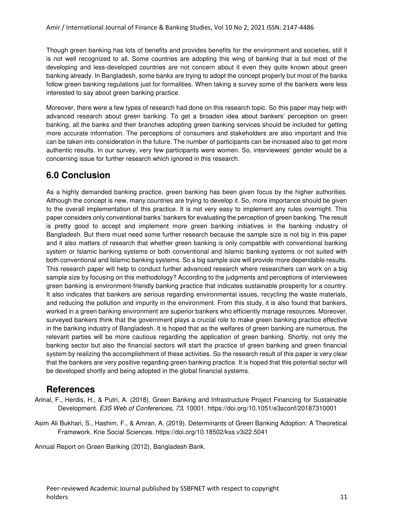Though green banking has lots of benefits and provides benefits for the environment and societies, still it is not well recognized to all. Some countries are adopting this wing of banking that is but most of the developing and less-developed countries are not concern about it even they quite known about green banking already. In Bangladesh, some banks are trying to adopt the concept properly but most of the banks follow green banking regulations just for formalities. When taking a survey some of the bankers were less interested to say about green banking practice.

Moreover, there were a few types of research had done on this research topic. So this paper may help with advanced research about green banking. To get a broaden idea about bankers' perception on green banking, all the banks and their branches adopting green banking services should be included for getting more accurate information. The perceptions of consumers and stakeholders are also important and this can be taken into consideration in the future. The number of participants can be increased also to get more authentic results. In our survey, very few participants were women. So, interviewees' gender would be a concerning issue for further research which ignored in this research.

### **6.0 Conclusion**

As a highly demanded banking practice, green banking has been given focus by the higher authorities. Although the concept is new, many countries are trying to develop it. So, more importance should be given to the overall implementation of this practice. It is not very easy to implement any rules overnight. This paper considers only conventional banks' bankers for evaluating the perception of green banking. The result is pretty good to accept and implement more green banking initiatives in the banking industry of Bangladesh. But there must need some further research because the sample size is not big in this paper and it also matters of research that whether green banking is only compatible with conventional banking system or Islamic banking systems or both conventional and Islamic banking systems or not suited with both conventional and Islamic banking systems. So a big sample size will provide more dependable results. This research paper will help to conduct further advanced research where researchers can work on a big sample size by focusing on this methodology? According to the judgments and perceptions of interviewees green banking is environment-friendly banking practice that indicates sustainable prosperity for a country. It also indicates that bankers are serious regarding environmental issues, recycling the waste materials, and reducing the pollution and impurity in the environment. From this study, it is also found that bankers, worked in a green banking environment are superior bankers who efficiently manage resources. Moreover, surveyed bankers think that the government plays a crucial role to make green banking practice effective in the banking industry of Bangladesh. It is hoped that as the welfares of green banking are numerous, the relevant parties will be more cautious regarding the application of green banking. Shortly, not only the banking sector but also the financial sectors will start the practice of green banking and green financial system by realizing the accomplishment of these activities. So the research result of this paper is very clear that the bankers are very positive regarding green banking practice. It is hoped that this potential sector will be developed shortly and being adopted in the global financial systems.

### **References**

Arinal, F., Herdis, H., & Putri, A. (2018). Green Banking and Infrastructure Project Financing for Sustainable Development. E3S Web of Conferences, 73, 10001.<https://doi.org/10.1051/e3sconf/20187310001>

Asim Ali Bukhari, S., Hashim, F., & Amran, A. (2019). Determinants of Green Banking Adoption: A Theoretical Framework. Kne Social Sciences.<https://doi.org/10.18502/kss.v3i22.5041>

Annual Report on Green Banking (2012), Bangladesh Bank.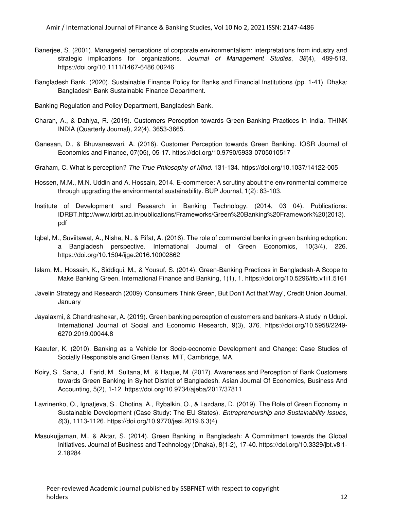- Banerjee, S. (2001). Managerial perceptions of corporate environmentalism: interpretations from industry and strategic implications for organizations. Journal of Management Studies, 38(4), 489-513. <https://doi.org/10.1111/1467-6486.00246>
- Bangladesh Bank. (2020). Sustainable Finance Policy for Banks and Financial Institutions (pp. 1-41). Dhaka: Bangladesh Bank Sustainable Finance Department.
- Banking Regulation and Policy Department, Bangladesh Bank.
- Charan, A., & Dahiya, R. (2019). Customers Perception towards Green Banking Practices in India. THINK INDIA (Quarterly Journal), 22(4), 3653-3665.
- Ganesan, D., & Bhuvaneswari, A. (2016). Customer Perception towards Green Banking. IOSR Journal of Economics and Finance, 07(05), 05-17.<https://doi.org/10.9790/5933-0705010517>
- Graham, C. What is perception? The True Philosophy of Mind. 131-134. https://doi.org/10.1037/14122-005
- Hossen, M.M., M.N. Uddin and A. Hossain, 2014. E-commerce: A scrutiny about the environmental commerce through upgrading the environmental sustainability. BUP Journal, 1(2): 83-103.
- Institute of Development and Research in Banking Technology. (2014, 03 04). Publications: IDRBT[.http://www.idrbt.ac.in/publications/Frameworks/Green%20Banking%20Framework%20\(2013\).](http://www.idrbt.ac.in/publications/Frameworks/Green%20Banking%20Framework%20(2013).pdf) [pdf](http://www.idrbt.ac.in/publications/Frameworks/Green%20Banking%20Framework%20(2013).pdf)
- Iqbal, M., Suviitawat, A., Nisha, N., & Rifat, A. (2016). The role of commercial banks in green banking adoption: a Bangladesh perspective. International Journal of Green Economics, 10(3/4), 226. <https://doi.org/10.1504/ijge.2016.10002862>
- Islam, M., Hossain, K., Siddiqui, M., & Yousuf, S. (2014). Green-Banking Practices in Bangladesh-A Scope to Make Banking Green. International Finance and Banking, 1(1), 1.<https://doi.org/10.5296/ifb.v1i1.5161>
- Javelin Strategy and Research (2009) 'Consumers Think Green, But Don't Act that Way', Credit Union Journal, January
- Jayalaxmi, & Chandrashekar, A. (2019). Green banking perception of customers and bankers-A study in Udupi. International Journal of Social and Economic Research, 9(3), 376. [https://doi.org/10.5958/2249-](https://doi.org/10.5958/2249-6270.2019.00044.8) [6270.2019.00044.8](https://doi.org/10.5958/2249-6270.2019.00044.8)
- Kaeufer, K. (2010). Banking as a Vehicle for Socio-economic Development and Change: Case Studies of Socially Responsible and Green Banks. MIT, Cambridge, MA.
- Koiry, S., Saha, J., Farid, M., Sultana, M., & Haque, M. (2017). Awareness and Perception of Bank Customers towards Green Banking in Sylhet District of Bangladesh. Asian Journal Of Economics, Business And Accounting, 5(2), 1-12.<https://doi.org/10.9734/ajeba/2017/37811>
- Lavrinenko, O., Ignatjeva, S., Ohotina, A., Rybalkin, O., & Lazdans, D. (2019). The Role of Green Economy in Sustainable Development (Case Study: The EU States). *Entrepreneurship and Sustainability Issues*, 6(3), 1113-1126. [https://doi.org/10.9770/jesi.2019.6.3\(4\)](https://doi.org/10.9770/jesi.2019.6.3(4))
- Masukujjaman, M., & Aktar, S. (2014). Green Banking in Bangladesh: A Commitment towards the Global Initiatives. Journal of Business and Technology (Dhaka), 8(1-2), 17-40[. https://doi.org/10.3329/jbt.v8i1-](https://doi.org/10.3329/jbt.v8i1-2.18284) [2.18284](https://doi.org/10.3329/jbt.v8i1-2.18284)